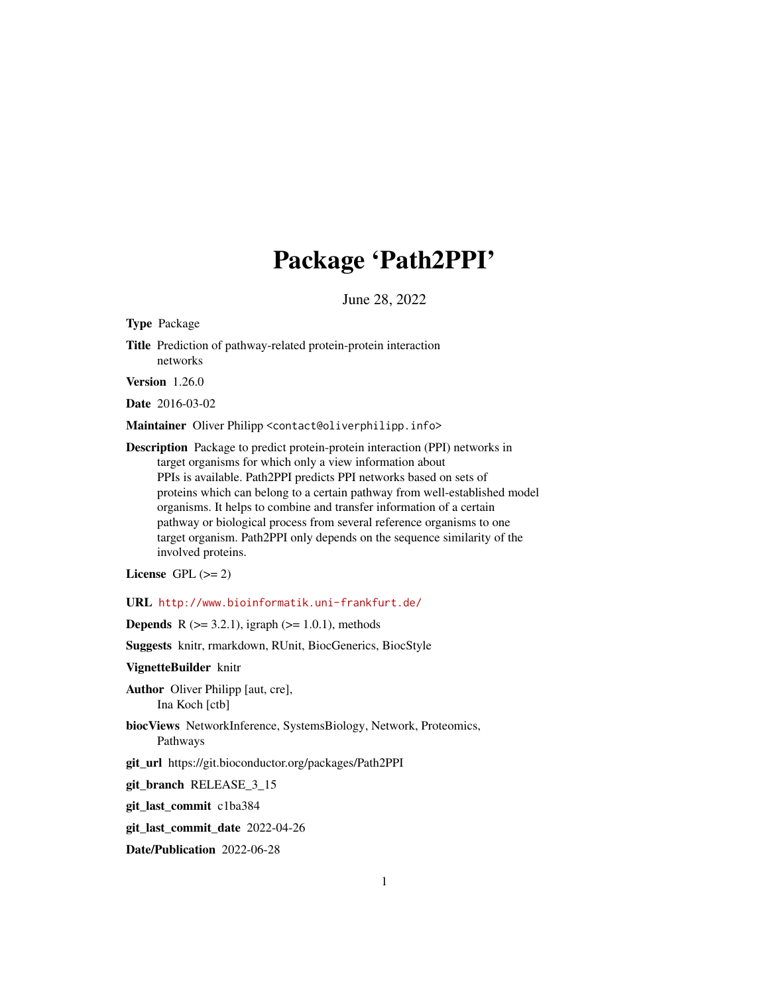# Package 'Path2PPI'

June 28, 2022

<span id="page-0-0"></span>Type Package

Title Prediction of pathway-related protein-protein interaction networks

Version 1.26.0

Date 2016-03-02

Maintainer Oliver Philipp <contact@oliverphilipp.info>

Description Package to predict protein-protein interaction (PPI) networks in target organisms for which only a view information about PPIs is available. Path2PPI predicts PPI networks based on sets of proteins which can belong to a certain pathway from well-established model organisms. It helps to combine and transfer information of a certain pathway or biological process from several reference organisms to one target organism. Path2PPI only depends on the sequence similarity of the involved proteins.

License GPL  $(>= 2)$ 

URL <http://www.bioinformatik.uni-frankfurt.de/>

**Depends** R ( $>= 3.2.1$ ), igraph ( $>= 1.0.1$ ), methods

Suggests knitr, rmarkdown, RUnit, BiocGenerics, BiocStyle

VignetteBuilder knitr

Author Oliver Philipp [aut, cre], Ina Koch [ctb]

biocViews NetworkInference, SystemsBiology, Network, Proteomics, Pathways

git\_url https://git.bioconductor.org/packages/Path2PPI

git\_branch RELEASE\_3\_15

git\_last\_commit c1ba384

git\_last\_commit\_date 2022-04-26

Date/Publication 2022-06-28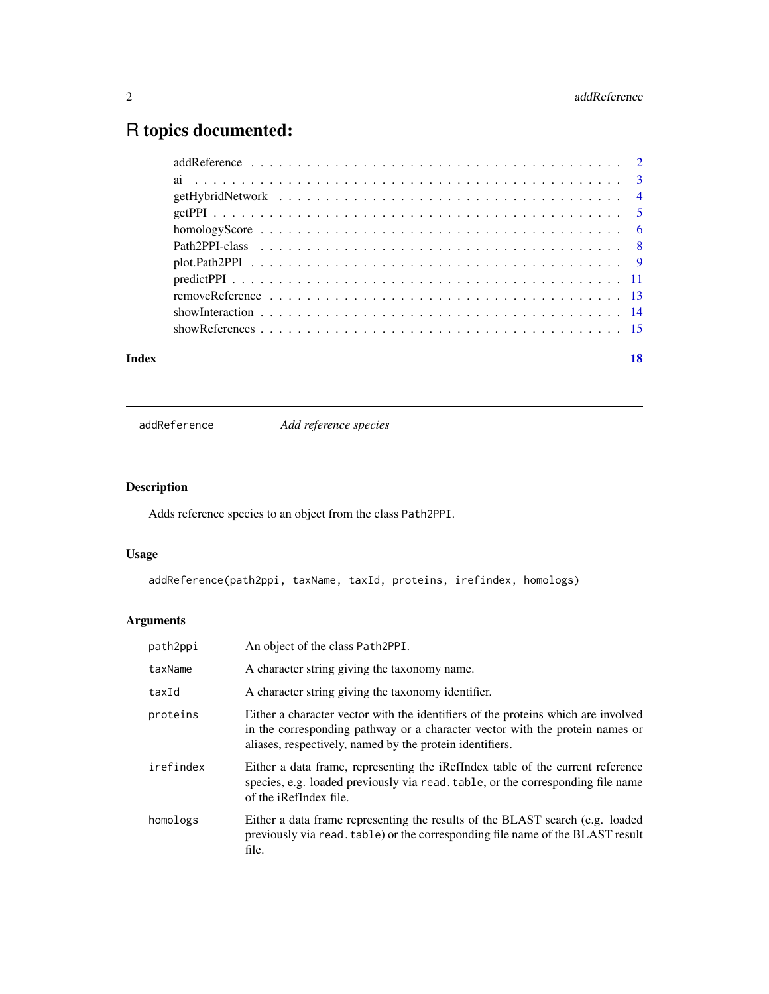## <span id="page-1-0"></span>R topics documented:

| Index | 18 |
|-------|----|
|       |    |
|       |    |
|       |    |
|       |    |
|       |    |
|       |    |
|       |    |
|       |    |
|       |    |
|       |    |
|       |    |

<span id="page-1-1"></span>addReference *Add reference species*

### Description

Adds reference species to an object from the class Path2PPI.

### Usage

addReference(path2ppi, taxName, taxId, proteins, irefindex, homologs)

### Arguments

| path2ppi  | An object of the class Path2PPI.                                                                                                                                                                                              |
|-----------|-------------------------------------------------------------------------------------------------------------------------------------------------------------------------------------------------------------------------------|
| taxName   | A character string giving the taxonomy name.                                                                                                                                                                                  |
| taxId     | A character string giving the taxonomy identifier.                                                                                                                                                                            |
| proteins  | Either a character vector with the identifiers of the proteins which are involved<br>in the corresponding pathway or a character vector with the protein names or<br>aliases, respectively, named by the protein identifiers. |
| irefindex | Either a data frame, representing the iRefIndex table of the current reference<br>species, e.g. loaded previously via read. table, or the corresponding file name<br>of the iRefIndex file.                                   |
| homologs  | Either a data frame representing the results of the BLAST search (e.g. loaded<br>previously via read. table) or the corresponding file name of the BLAST result<br>file.                                                      |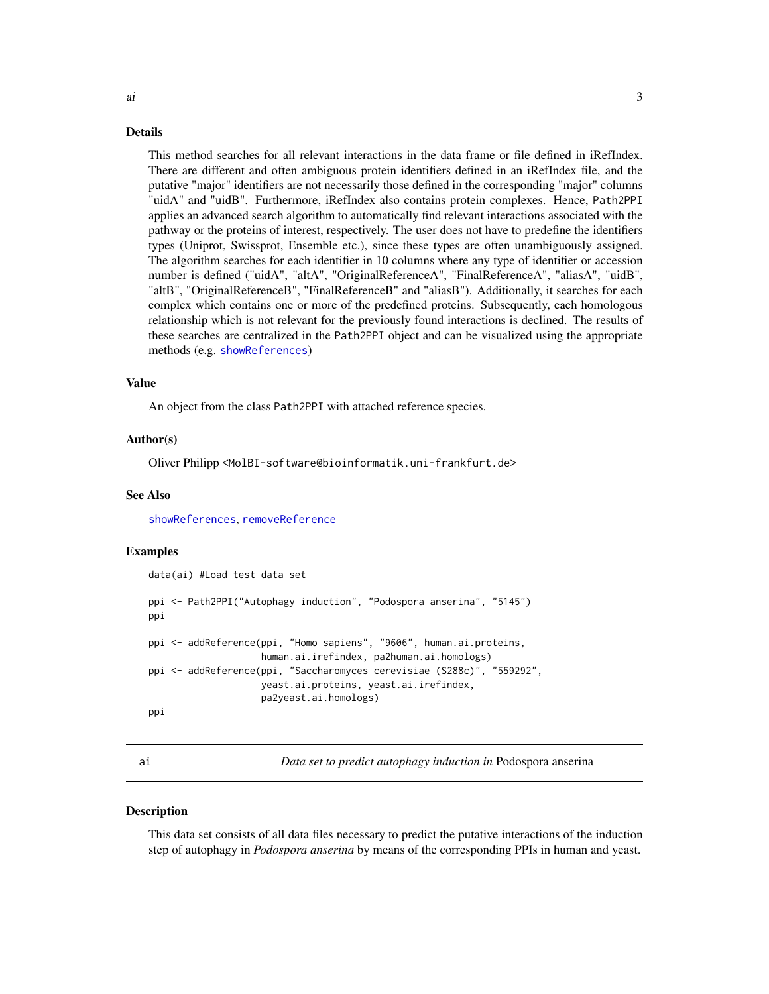#### <span id="page-2-0"></span>Details

This method searches for all relevant interactions in the data frame or file defined in iRefIndex. There are different and often ambiguous protein identifiers defined in an iRefIndex file, and the putative "major" identifiers are not necessarily those defined in the corresponding "major" columns "uidA" and "uidB". Furthermore, iRefIndex also contains protein complexes. Hence, Path2PPI applies an advanced search algorithm to automatically find relevant interactions associated with the pathway or the proteins of interest, respectively. The user does not have to predefine the identifiers types (Uniprot, Swissprot, Ensemble etc.), since these types are often unambiguously assigned. The algorithm searches for each identifier in 10 columns where any type of identifier or accession number is defined ("uidA", "altA", "OriginalReferenceA", "FinalReferenceA", "aliasA", "uidB", "altB", "OriginalReferenceB", "FinalReferenceB" and "aliasB"). Additionally, it searches for each complex which contains one or more of the predefined proteins. Subsequently, each homologous relationship which is not relevant for the previously found interactions is declined. The results of these searches are centralized in the Path2PPI object and can be visualized using the appropriate methods (e.g. [showReferences](#page-14-1))

#### Value

An object from the class Path2PPI with attached reference species.

#### Author(s)

Oliver Philipp <MolBI-software@bioinformatik.uni-frankfurt.de>

#### See Also

[showReferences](#page-14-1), [removeReference](#page-12-1)

#### Examples

```
data(ai) #Load test data set
ppi <- Path2PPI("Autophagy induction", "Podospora anserina", "5145")
ppi
ppi <- addReference(ppi, "Homo sapiens", "9606", human.ai.proteins,
                    human.ai.irefindex, pa2human.ai.homologs)
ppi <- addReference(ppi, "Saccharomyces cerevisiae (S288c)", "559292",
                    yeast.ai.proteins, yeast.ai.irefindex,
                    pa2yeast.ai.homologs)
ppi
```
ai *Data set to predict autophagy induction in* Podospora anserina

#### **Description**

This data set consists of all data files necessary to predict the putative interactions of the induction step of autophagy in *Podospora anserina* by means of the corresponding PPIs in human and yeast.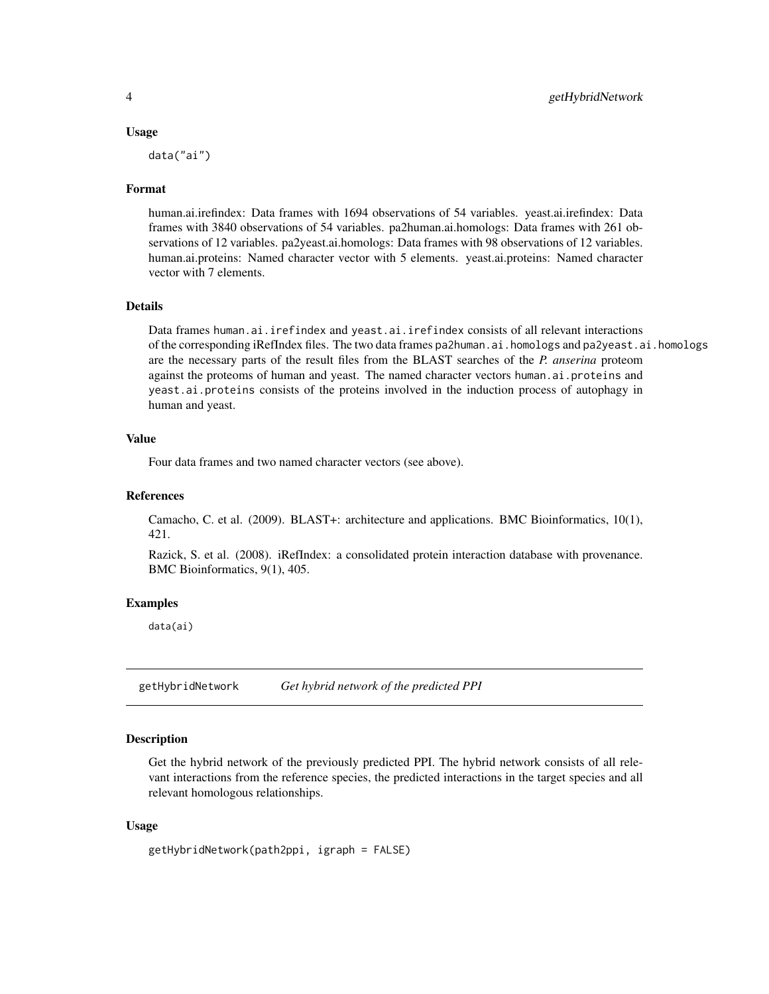#### Usage

data("ai")

#### Format

human.ai.irefindex: Data frames with 1694 observations of 54 variables. yeast.ai.irefindex: Data frames with 3840 observations of 54 variables. pa2human.ai.homologs: Data frames with 261 observations of 12 variables. pa2yeast.ai.homologs: Data frames with 98 observations of 12 variables. human.ai.proteins: Named character vector with 5 elements. yeast.ai.proteins: Named character vector with 7 elements.

#### Details

Data frames human.ai.irefindex and yeast.ai.irefindex consists of all relevant interactions of the corresponding iRefIndex files. The two data frames pa2human.ai.homologs and pa2yeast.ai.homologs are the necessary parts of the result files from the BLAST searches of the *P. anserina* proteom against the proteoms of human and yeast. The named character vectors human.ai.proteins and yeast.ai.proteins consists of the proteins involved in the induction process of autophagy in human and yeast.

#### Value

Four data frames and two named character vectors (see above).

#### References

Camacho, C. et al. (2009). BLAST+: architecture and applications. BMC Bioinformatics, 10(1), 421.

Razick, S. et al. (2008). iRefIndex: a consolidated protein interaction database with provenance. BMC Bioinformatics, 9(1), 405.

#### Examples

data(ai)

<span id="page-3-1"></span>getHybridNetwork *Get hybrid network of the predicted PPI*

#### Description

Get the hybrid network of the previously predicted PPI. The hybrid network consists of all relevant interactions from the reference species, the predicted interactions in the target species and all relevant homologous relationships.

#### Usage

```
getHybridNetwork(path2ppi, igraph = FALSE)
```
<span id="page-3-0"></span>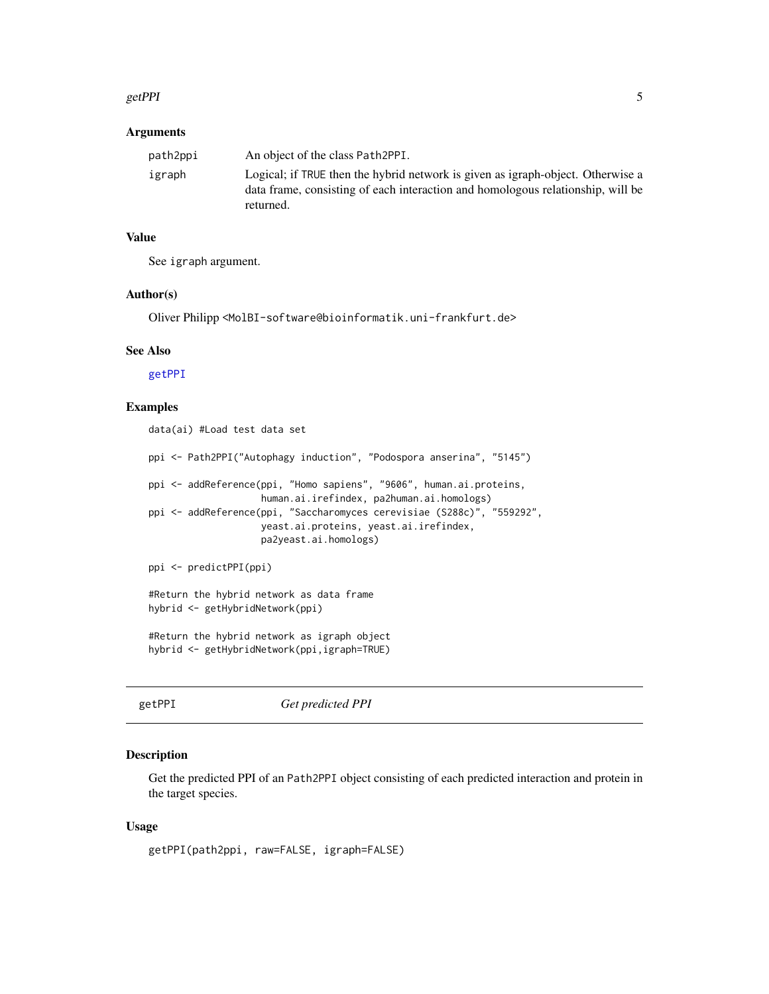#### <span id="page-4-0"></span>getPPI 5

#### **Arguments**

| path2ppi | An object of the class Path2PPI.                                                                                                                                                |
|----------|---------------------------------------------------------------------------------------------------------------------------------------------------------------------------------|
| igraph   | Logical; if TRUE then the hybrid network is given as igraph-object. Otherwise a<br>data frame, consisting of each interaction and homologous relationship, will be<br>returned. |

#### Value

See igraph argument.

#### Author(s)

Oliver Philipp <MolBI-software@bioinformatik.uni-frankfurt.de>

#### See Also

[getPPI](#page-4-1)

## Examples

data(ai) #Load test data set

ppi <- Path2PPI("Autophagy induction", "Podospora anserina", "5145")

```
ppi <- addReference(ppi, "Homo sapiens", "9606", human.ai.proteins,
                    human.ai.irefindex, pa2human.ai.homologs)
```
ppi <- addReference(ppi, "Saccharomyces cerevisiae (S288c)", "559292", yeast.ai.proteins, yeast.ai.irefindex, pa2yeast.ai.homologs)

```
ppi <- predictPPI(ppi)
```
#Return the hybrid network as data frame hybrid <- getHybridNetwork(ppi)

#Return the hybrid network as igraph object hybrid <- getHybridNetwork(ppi,igraph=TRUE)

```
getPPI Get predicted PPI
```
#### Description

Get the predicted PPI of an Path2PPI object consisting of each predicted interaction and protein in the target species.

#### Usage

getPPI(path2ppi, raw=FALSE, igraph=FALSE)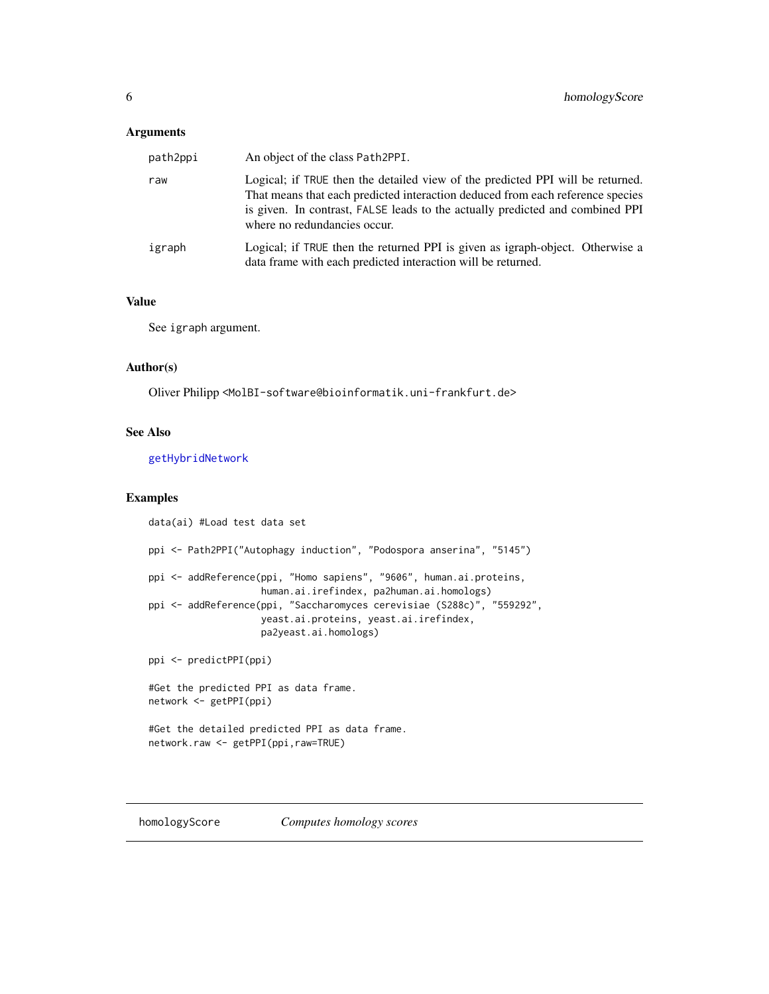#### <span id="page-5-0"></span>Arguments

| path2ppi | An object of the class Path2PPI.                                                                                                                                                                                                                                                  |
|----------|-----------------------------------------------------------------------------------------------------------------------------------------------------------------------------------------------------------------------------------------------------------------------------------|
| raw      | Logical; if TRUE then the detailed view of the predicted PPI will be returned.<br>That means that each predicted interaction deduced from each reference species<br>is given. In contrast, FALSE leads to the actually predicted and combined PPI<br>where no redundancies occur. |
| igraph   | Logical; if TRUE then the returned PPI is given as igraph-object. Otherwise a<br>data frame with each predicted interaction will be returned.                                                                                                                                     |

#### Value

See igraph argument.

#### Author(s)

Oliver Philipp <MolBI-software@bioinformatik.uni-frankfurt.de>

#### See Also

[getHybridNetwork](#page-3-1)

#### Examples

```
data(ai) #Load test data set
ppi <- Path2PPI("Autophagy induction", "Podospora anserina", "5145")
ppi <- addReference(ppi, "Homo sapiens", "9606", human.ai.proteins,
                    human.ai.irefindex, pa2human.ai.homologs)
ppi <- addReference(ppi, "Saccharomyces cerevisiae (S288c)", "559292",
                    yeast.ai.proteins, yeast.ai.irefindex,
                    pa2yeast.ai.homologs)
ppi <- predictPPI(ppi)
#Get the predicted PPI as data frame.
network <- getPPI(ppi)
#Get the detailed predicted PPI as data frame.
network.raw <- getPPI(ppi,raw=TRUE)
```
<span id="page-5-1"></span>homologyScore *Computes homology scores*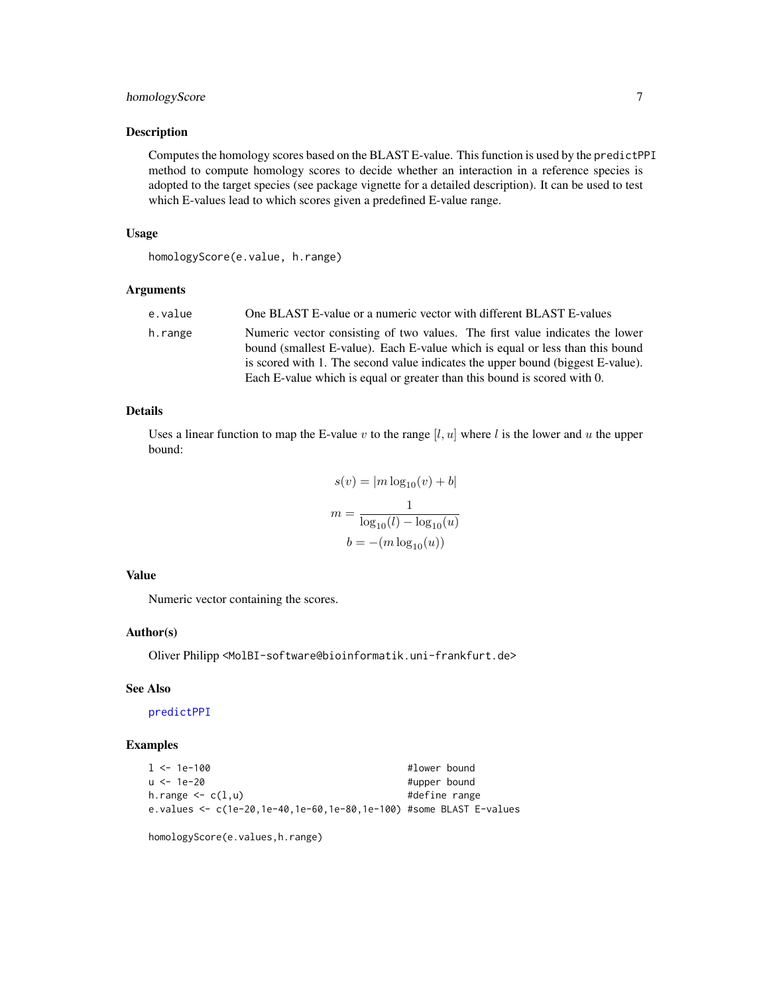#### <span id="page-6-0"></span>homologyScore 7

#### Description

Computes the homology scores based on the BLAST E-value. This function is used by the predictPPI method to compute homology scores to decide whether an interaction in a reference species is adopted to the target species (see package vignette for a detailed description). It can be used to test which E-values lead to which scores given a predefined E-value range.

#### Usage

homologyScore(e.value, h.range)

#### Arguments

| e.value | One BLAST E-value or a numeric vector with different BLAST E-values                                                                                                                                                                                                                                                          |
|---------|------------------------------------------------------------------------------------------------------------------------------------------------------------------------------------------------------------------------------------------------------------------------------------------------------------------------------|
| h.range | Numeric vector consisting of two values. The first value indicates the lower<br>bound (smallest E-value). Each E-value which is equal or less than this bound<br>is scored with 1. The second value indicates the upper bound (biggest E-value).<br>Each E-value which is equal or greater than this bound is scored with 0. |

#### Details

Uses a linear function to map the E-value v to the range  $[l, u]$  where l is the lower and u the upper bound:

$$
s(v) = |m \log_{10}(v) + b|
$$

$$
m = \frac{1}{\log_{10}(l) - \log_{10}(u)}
$$

$$
b = -(m \log_{10}(u))
$$

#### Value

Numeric vector containing the scores.

#### Author(s)

Oliver Philipp <MolBI-software@bioinformatik.uni-frankfurt.de>

#### See Also

[predictPPI](#page-10-1)

#### Examples

```
l <- 1e-100 #lower bound
                                #upper bound
h.range \leq c(1, u) #define range
e.values <- c(1e-20,1e-40,1e-60,1e-80,1e-100) #some BLAST E-values
```
homologyScore(e.values,h.range)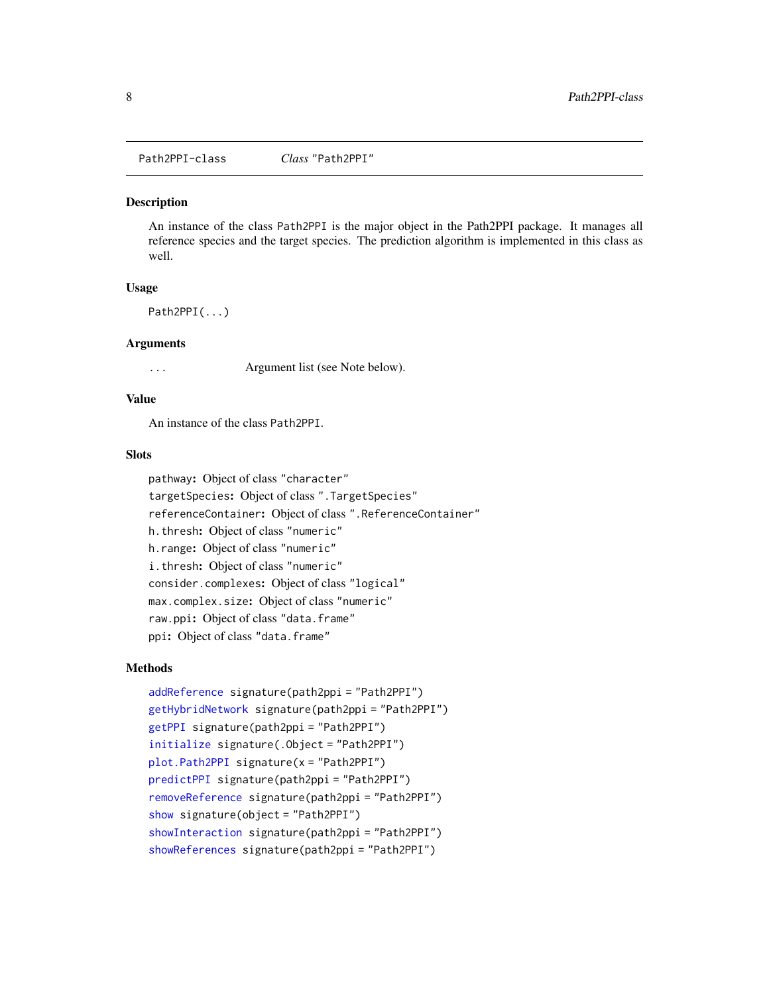<span id="page-7-0"></span>Path2PPI-class *Class* "Path2PPI"

#### **Description**

An instance of the class Path2PPI is the major object in the Path2PPI package. It manages all reference species and the target species. The prediction algorithm is implemented in this class as well.

#### Usage

Path2PPI(...)

#### **Arguments**

... Argument list (see Note below).

#### Value

An instance of the class Path2PPI.

#### **Slots**

pathway: Object of class "character" targetSpecies: Object of class ".TargetSpecies" referenceContainer: Object of class ".ReferenceContainer" h.thresh: Object of class "numeric" h.range: Object of class "numeric" i.thresh: Object of class "numeric" consider.complexes: Object of class "logical" max.complex.size: Object of class "numeric" raw.ppi: Object of class "data.frame" ppi: Object of class "data.frame"

#### Methods

```
addReference signature(path2ppi = "Path2PPI")
getHybridNetwork signature(path2ppi = "Path2PPI")
getPPI signature(path2ppi = "Path2PPI")
initialize signature(.Object = "Path2PPI")
plot.Path2PPI signature(x = "Path2PPI")
predictPPI signature(path2ppi = "Path2PPI")
removeReference signature(path2ppi = "Path2PPI")
show signature(object = "Path2PPI")
showInteraction signature(path2ppi = "Path2PPI")
showReferences signature(path2ppi = "Path2PPI")
```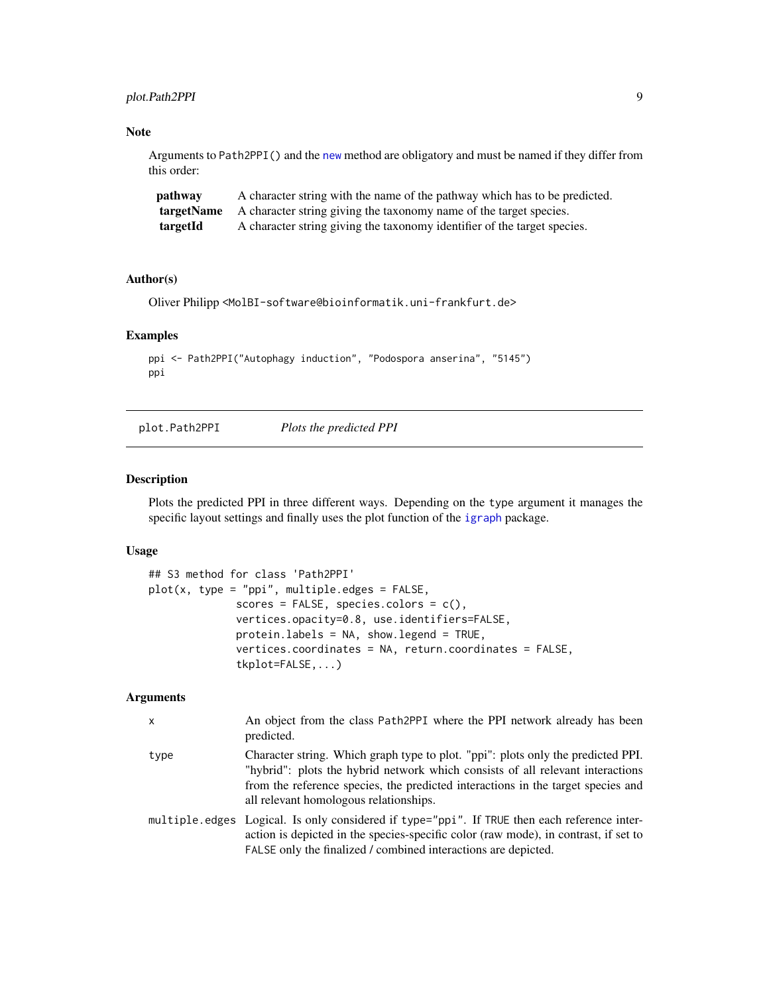#### <span id="page-8-0"></span>plot.Path2PPI 9

#### Note

Arguments to Path2PPI() and the [new](#page-0-0) method are obligatory and must be named if they differ from this order:

| pathway  | A character string with the name of the pathway which has to be predicted.           |
|----------|--------------------------------------------------------------------------------------|
|          | <b>targetName</b> A character string giving the taxonomy name of the target species. |
| targetId | A character string giving the taxonomy identifier of the target species.             |

#### Author(s)

Oliver Philipp <MolBI-software@bioinformatik.uni-frankfurt.de>

#### Examples

```
ppi <- Path2PPI("Autophagy induction", "Podospora anserina", "5145")
ppi
```
<span id="page-8-1"></span>plot.Path2PPI *Plots the predicted PPI*

#### Description

Plots the predicted PPI in three different ways. Depending on the type argument it manages the specific layout settings and finally uses the plot function of the [igraph](#page-0-0) package.

#### Usage

```
## S3 method for class 'Path2PPI'
plot(x, type = "ppi", multiple.edges = FALSE,
              scores = FALSE, species.colors = c(),
              vertices.opacity=0.8, use.identifiers=FALSE,
              protein.labels = NA, show.legend = TRUE,
              vertices.coordinates = NA, return.coordinates = FALSE,
              tkplot=FALSE,...)
```
#### Arguments

| X    | An object from the class Path2PPI where the PPI network already has been<br>predicted.                                                                                                                                                                                                           |
|------|--------------------------------------------------------------------------------------------------------------------------------------------------------------------------------------------------------------------------------------------------------------------------------------------------|
| type | Character string. Which graph type to plot. "ppi": plots only the predicted PPI.<br>"hybrid": plots the hybrid network which consists of all relevant interactions<br>from the reference species, the predicted interactions in the target species and<br>all relevant homologous relationships. |
|      | multiple edges Logical. Is only considered if type="ppi". If TRUE then each reference inter-<br>action is depicted in the species-specific color (raw mode), in contrast, if set to<br>FALSE only the finalized / combined interactions are depicted.                                            |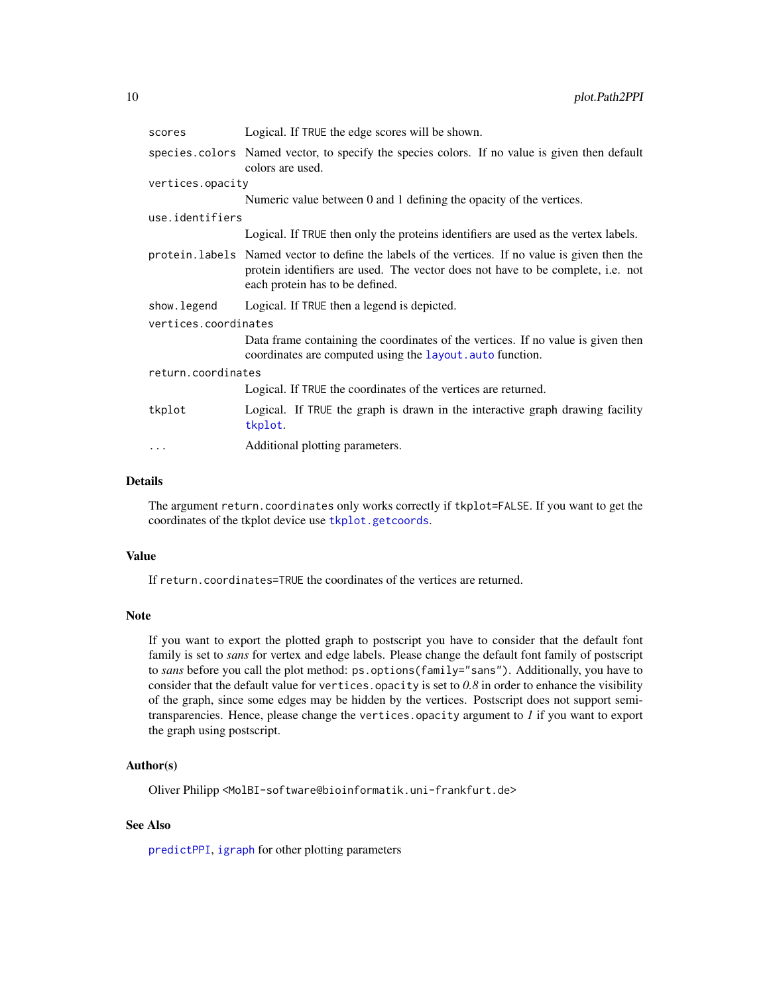<span id="page-9-0"></span>

| scores               | Logical. If TRUE the edge scores will be shown.                                                                                                                                                                        |  |
|----------------------|------------------------------------------------------------------------------------------------------------------------------------------------------------------------------------------------------------------------|--|
|                      | species colors Named vector, to specify the species colors. If no value is given then default<br>colors are used.                                                                                                      |  |
| vertices.opacity     |                                                                                                                                                                                                                        |  |
|                      | Numeric value between 0 and 1 defining the opacity of the vertices.                                                                                                                                                    |  |
| use.identifiers      |                                                                                                                                                                                                                        |  |
|                      | Logical. If TRUE then only the proteins identifiers are used as the vertex labels.                                                                                                                                     |  |
|                      | protein. labels Named vector to define the labels of the vertices. If no value is given then the<br>protein identifiers are used. The vector does not have to be complete, i.e. not<br>each protein has to be defined. |  |
| show.legend          | Logical. If TRUE then a legend is depicted.                                                                                                                                                                            |  |
| vertices.coordinates |                                                                                                                                                                                                                        |  |
|                      | Data frame containing the coordinates of the vertices. If no value is given then<br>coordinates are computed using the layout. auto function.                                                                          |  |
| return.coordinates   |                                                                                                                                                                                                                        |  |
|                      | Logical. If TRUE the coordinates of the vertices are returned.                                                                                                                                                         |  |
| tkplot               | Logical. If TRUE the graph is drawn in the interactive graph drawing facility<br>tkplot.                                                                                                                               |  |
| .                    | Additional plotting parameters.                                                                                                                                                                                        |  |

#### Details

The argument return.coordinates only works correctly if tkplot=FALSE. If you want to get the coordinates of the tkplot device use [tkplot.getcoords](#page-0-0).

#### Value

If return.coordinates=TRUE the coordinates of the vertices are returned.

#### Note

If you want to export the plotted graph to postscript you have to consider that the default font family is set to *sans* for vertex and edge labels. Please change the default font family of postscript to *sans* before you call the plot method: ps.options(family="sans"). Additionally, you have to consider that the default value for vertices.opacity is set to *0.8* in order to enhance the visibility of the graph, since some edges may be hidden by the vertices. Postscript does not support semitransparencies. Hence, please change the vertices.opacity argument to *1* if you want to export the graph using postscript.

#### Author(s)

Oliver Philipp <MolBI-software@bioinformatik.uni-frankfurt.de>

#### See Also

[predictPPI](#page-10-1), [igraph](#page-0-0) for other plotting parameters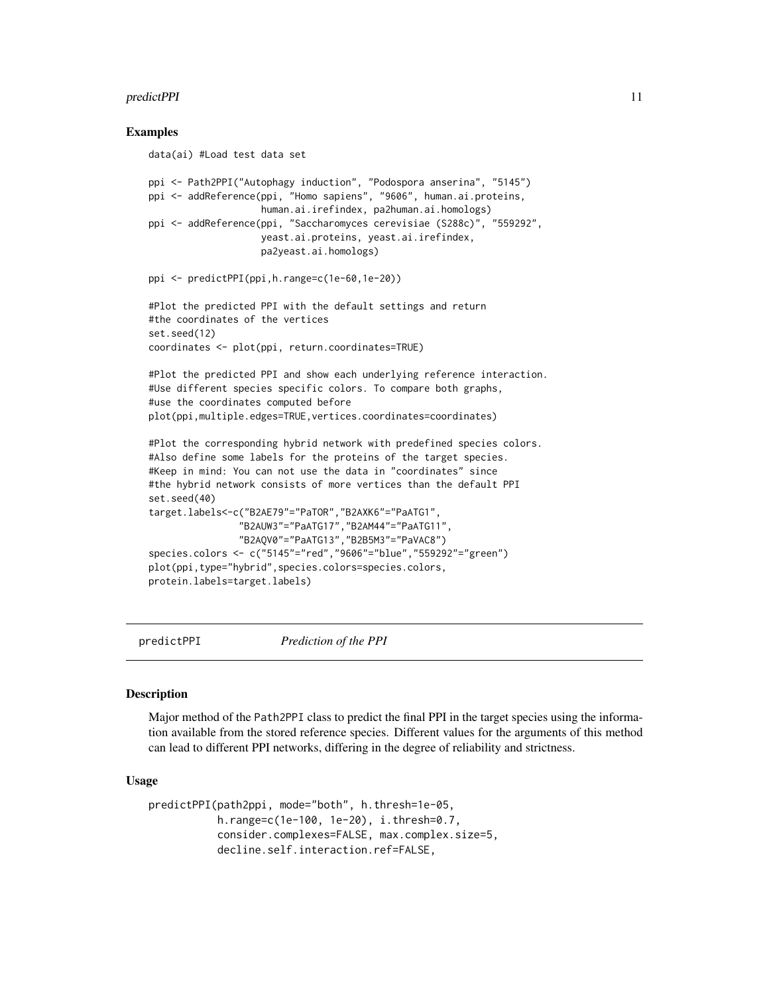#### <span id="page-10-0"></span>predictPPI 11

#### Examples

```
data(ai) #Load test data set
ppi <- Path2PPI("Autophagy induction", "Podospora anserina", "5145")
ppi <- addReference(ppi, "Homo sapiens", "9606", human.ai.proteins,
                    human.ai.irefindex, pa2human.ai.homologs)
ppi <- addReference(ppi, "Saccharomyces cerevisiae (S288c)", "559292",
                    yeast.ai.proteins, yeast.ai.irefindex,
                    pa2yeast.ai.homologs)
ppi <- predictPPI(ppi,h.range=c(1e-60,1e-20))
#Plot the predicted PPI with the default settings and return
#the coordinates of the vertices
set.seed(12)
coordinates <- plot(ppi, return.coordinates=TRUE)
#Plot the predicted PPI and show each underlying reference interaction.
#Use different species specific colors. To compare both graphs,
#use the coordinates computed before
plot(ppi,multiple.edges=TRUE,vertices.coordinates=coordinates)
#Plot the corresponding hybrid network with predefined species colors.
#Also define some labels for the proteins of the target species.
#Keep in mind: You can not use the data in "coordinates" since
#the hybrid network consists of more vertices than the default PPI
set.seed(40)
target.labels<-c("B2AE79"="PaTOR","B2AXK6"="PaATG1",
                "B2AUW3"="PaATG17","B2AM44"="PaATG11",
                "B2AQV0"="PaATG13","B2B5M3"="PaVAC8")
species.colors <- c("5145"="red","9606"="blue","559292"="green")
plot(ppi,type="hybrid",species.colors=species.colors,
protein.labels=target.labels)
```
predictPPI *Prediction of the PPI*

#### Description

Major method of the Path2PPI class to predict the final PPI in the target species using the information available from the stored reference species. Different values for the arguments of this method can lead to different PPI networks, differing in the degree of reliability and strictness.

#### Usage

```
predictPPI(path2ppi, mode="both", h.thresh=1e-05,
           h.range=c(1e-100, 1e-20), i.thresh=0.7,
           consider.complexes=FALSE, max.complex.size=5,
           decline.self.interaction.ref=FALSE,
```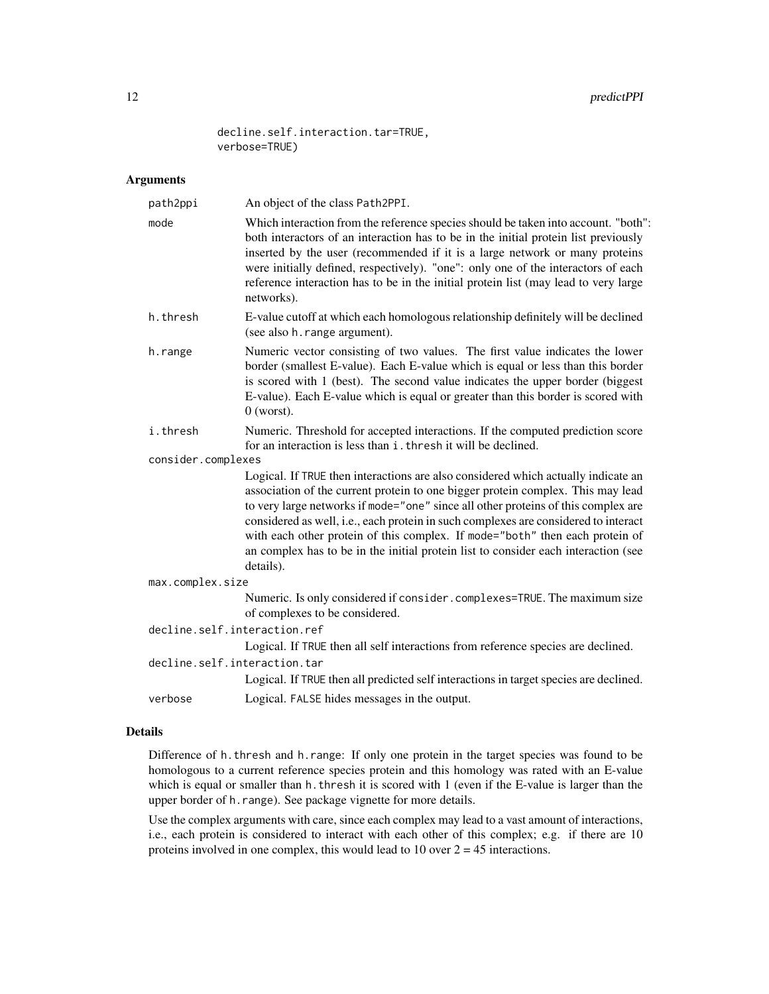decline.self.interaction.tar=TRUE, verbose=TRUE)

#### Arguments

| path2ppi                     | An object of the class Path2PPI.                                                                                                                                                                                                                                                                                                                                                                                                                                                                                                    |  |
|------------------------------|-------------------------------------------------------------------------------------------------------------------------------------------------------------------------------------------------------------------------------------------------------------------------------------------------------------------------------------------------------------------------------------------------------------------------------------------------------------------------------------------------------------------------------------|--|
| mode                         | Which interaction from the reference species should be taken into account. "both":<br>both interactors of an interaction has to be in the initial protein list previously<br>inserted by the user (recommended if it is a large network or many proteins<br>were initially defined, respectively). "one": only one of the interactors of each<br>reference interaction has to be in the initial protein list (may lead to very large<br>networks).                                                                                  |  |
| h.thresh                     | E-value cutoff at which each homologous relationship definitely will be declined<br>(see also h. range argument).                                                                                                                                                                                                                                                                                                                                                                                                                   |  |
| h.range                      | Numeric vector consisting of two values. The first value indicates the lower<br>border (smallest E-value). Each E-value which is equal or less than this border<br>is scored with 1 (best). The second value indicates the upper border (biggest<br>E-value). Each E-value which is equal or greater than this border is scored with<br>$0$ (worst).                                                                                                                                                                                |  |
| i.thresh                     | Numeric. Threshold for accepted interactions. If the computed prediction score<br>for an interaction is less than i. thresh it will be declined.                                                                                                                                                                                                                                                                                                                                                                                    |  |
| consider.complexes           |                                                                                                                                                                                                                                                                                                                                                                                                                                                                                                                                     |  |
|                              | Logical. If TRUE then interactions are also considered which actually indicate an<br>association of the current protein to one bigger protein complex. This may lead<br>to very large networks if mode="one" since all other proteins of this complex are<br>considered as well, i.e., each protein in such complexes are considered to interact<br>with each other protein of this complex. If mode="both" then each protein of<br>an complex has to be in the initial protein list to consider each interaction (see<br>details). |  |
| max.complex.size             |                                                                                                                                                                                                                                                                                                                                                                                                                                                                                                                                     |  |
|                              | Numeric. Is only considered if consider.complexes=TRUE. The maximum size<br>of complexes to be considered.                                                                                                                                                                                                                                                                                                                                                                                                                          |  |
| decline.self.interaction.ref |                                                                                                                                                                                                                                                                                                                                                                                                                                                                                                                                     |  |
|                              | Logical. If TRUE then all self interactions from reference species are declined.                                                                                                                                                                                                                                                                                                                                                                                                                                                    |  |
| decline.self.interaction.tar | Logical. If TRUE then all predicted self interactions in target species are declined.                                                                                                                                                                                                                                                                                                                                                                                                                                               |  |
| verbose                      | Logical. FALSE hides messages in the output.                                                                                                                                                                                                                                                                                                                                                                                                                                                                                        |  |
|                              |                                                                                                                                                                                                                                                                                                                                                                                                                                                                                                                                     |  |

#### Details

Difference of h.thresh and h.range: If only one protein in the target species was found to be homologous to a current reference species protein and this homology was rated with an E-value which is equal or smaller than h. thresh it is scored with 1 (even if the E-value is larger than the upper border of h.range). See package vignette for more details.

Use the complex arguments with care, since each complex may lead to a vast amount of interactions, i.e., each protein is considered to interact with each other of this complex; e.g. if there are 10 proteins involved in one complex, this would lead to 10 over  $2 = 45$  interactions.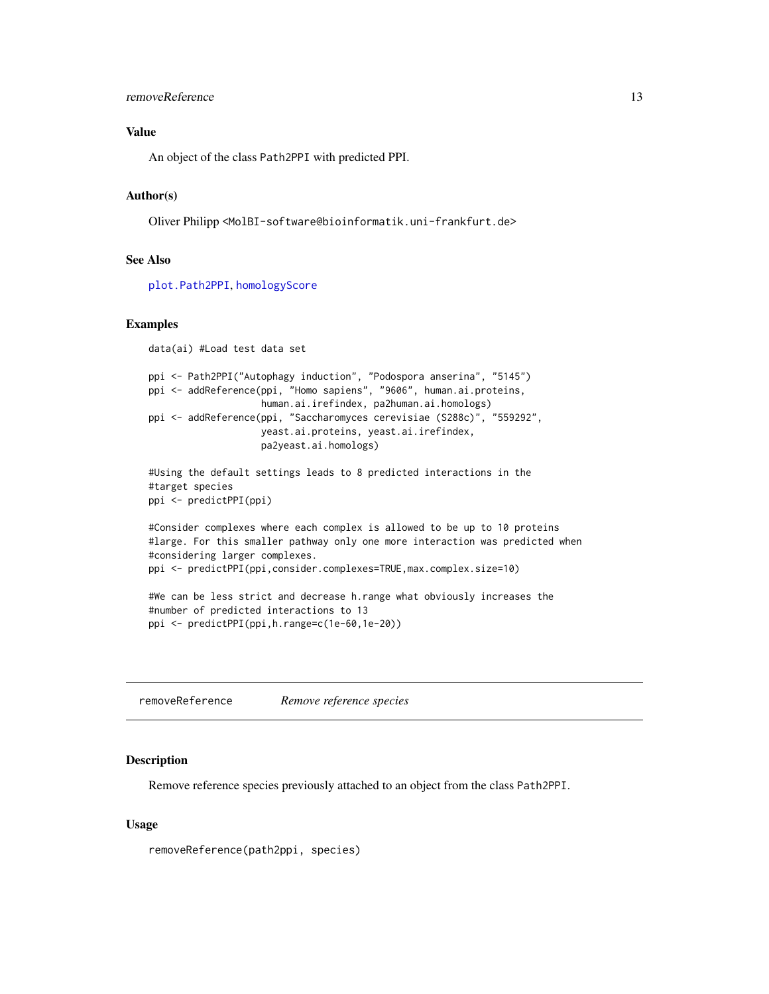#### <span id="page-12-0"></span>removeReference 13

#### Value

An object of the class Path2PPI with predicted PPI.

#### Author(s)

Oliver Philipp <MolBI-software@bioinformatik.uni-frankfurt.de>

#### See Also

[plot.Path2PPI](#page-8-1), [homologyScore](#page-5-1)

#### Examples

```
data(ai) #Load test data set
ppi <- Path2PPI("Autophagy induction", "Podospora anserina", "5145")
ppi <- addReference(ppi, "Homo sapiens", "9606", human.ai.proteins,
                    human.ai.irefindex, pa2human.ai.homologs)
ppi <- addReference(ppi, "Saccharomyces cerevisiae (S288c)", "559292",
                   yeast.ai.proteins, yeast.ai.irefindex,
                   pa2yeast.ai.homologs)
#Using the default settings leads to 8 predicted interactions in the
#target species
```

```
ppi <- predictPPI(ppi)
```
#Consider complexes where each complex is allowed to be up to 10 proteins #large. For this smaller pathway only one more interaction was predicted when #considering larger complexes. ppi <- predictPPI(ppi,consider.complexes=TRUE,max.complex.size=10)

```
#We can be less strict and decrease h.range what obviously increases the
#number of predicted interactions to 13
ppi <- predictPPI(ppi,h.range=c(1e-60,1e-20))
```
<span id="page-12-1"></span>removeReference *Remove reference species*

#### **Description**

Remove reference species previously attached to an object from the class Path2PPI.

#### Usage

removeReference(path2ppi, species)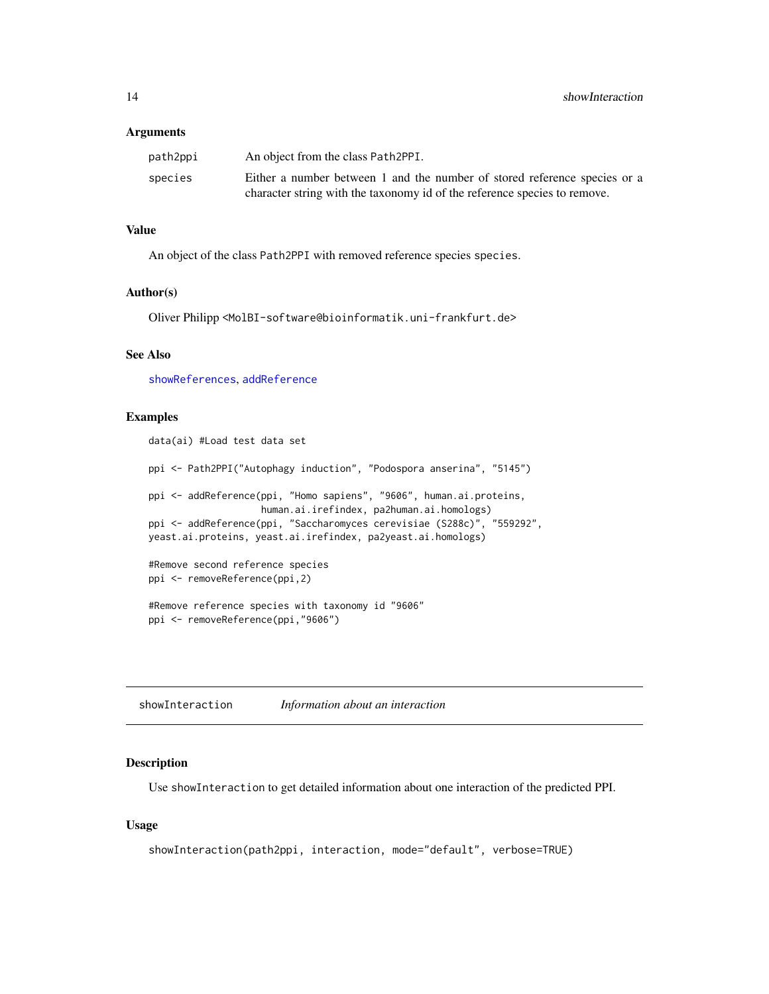#### <span id="page-13-0"></span>**Arguments**

| path2ppi | An object from the class Path2PPI.                                        |
|----------|---------------------------------------------------------------------------|
| species  | Either a number between 1 and the number of stored reference species or a |
|          | character string with the taxonomy id of the reference species to remove. |

#### Value

An object of the class Path2PPI with removed reference species species.

#### Author(s)

Oliver Philipp <MolBI-software@bioinformatik.uni-frankfurt.de>

#### See Also

[showReferences](#page-14-1), [addReference](#page-1-1)

#### Examples

```
data(ai) #Load test data set
ppi <- Path2PPI("Autophagy induction", "Podospora anserina", "5145")
ppi <- addReference(ppi, "Homo sapiens", "9606", human.ai.proteins,
                   human.ai.irefindex, pa2human.ai.homologs)
ppi <- addReference(ppi, "Saccharomyces cerevisiae (S288c)", "559292",
yeast.ai.proteins, yeast.ai.irefindex, pa2yeast.ai.homologs)
#Remove second reference species
ppi <- removeReference(ppi,2)
#Remove reference species with taxonomy id "9606"
ppi <- removeReference(ppi,"9606")
```
<span id="page-13-1"></span>showInteraction *Information about an interaction*

#### Description

Use showInteraction to get detailed information about one interaction of the predicted PPI.

#### Usage

```
showInteraction(path2ppi, interaction, mode="default", verbose=TRUE)
```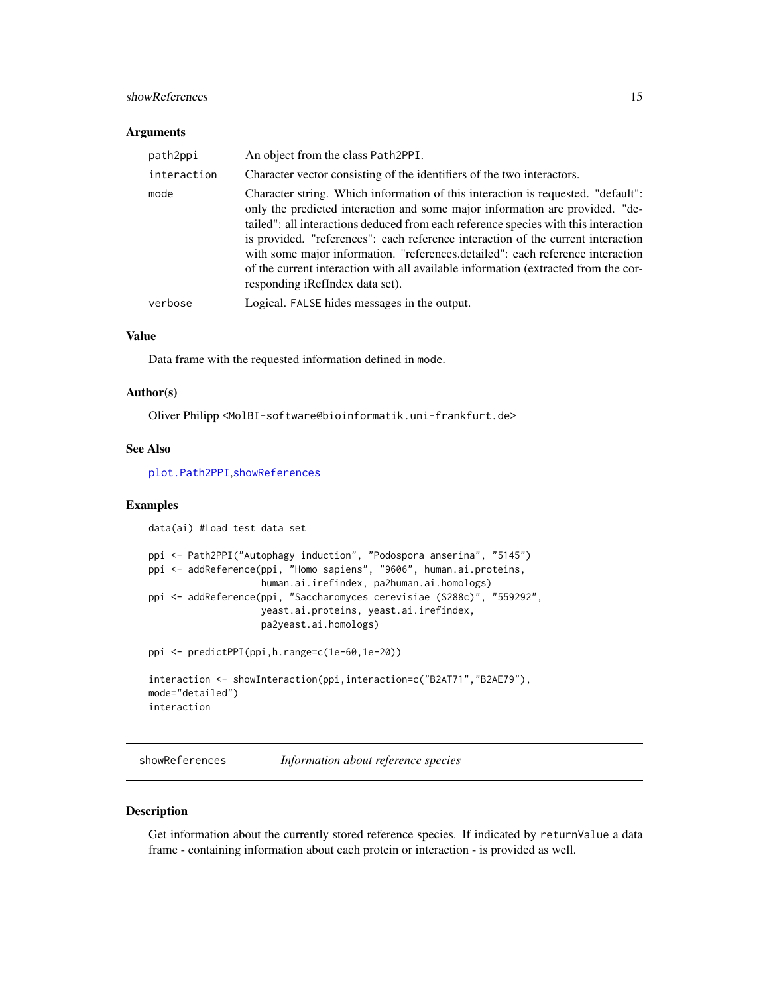#### <span id="page-14-0"></span>showReferences 15

#### **Arguments**

| path2ppi    | An object from the class Path2PPI.                                                                                                                                                                                                                                                                                                                                                                                                                                                                                                                     |
|-------------|--------------------------------------------------------------------------------------------------------------------------------------------------------------------------------------------------------------------------------------------------------------------------------------------------------------------------------------------------------------------------------------------------------------------------------------------------------------------------------------------------------------------------------------------------------|
| interaction | Character vector consisting of the identifiers of the two interactors.                                                                                                                                                                                                                                                                                                                                                                                                                                                                                 |
| mode        | Character string. Which information of this interaction is requested. "default":<br>only the predicted interaction and some major information are provided. "de-<br>tailed": all interactions deduced from each reference species with this interaction<br>is provided. "references": each reference interaction of the current interaction<br>with some major information. "references.detailed": each reference interaction<br>of the current interaction with all available information (extracted from the cor-<br>responding iRefIndex data set). |
| verbose     | Logical. FALSE hides messages in the output.                                                                                                                                                                                                                                                                                                                                                                                                                                                                                                           |

#### Value

Data frame with the requested information defined in mode.

#### Author(s)

Oliver Philipp <MolBI-software@bioinformatik.uni-frankfurt.de>

#### See Also

[plot.Path2PPI](#page-8-1),[showReferences](#page-14-1)

#### Examples

```
data(ai) #Load test data set
ppi <- Path2PPI("Autophagy induction", "Podospora anserina", "5145")
ppi <- addReference(ppi, "Homo sapiens", "9606", human.ai.proteins,
                    human.ai.irefindex, pa2human.ai.homologs)
ppi <- addReference(ppi, "Saccharomyces cerevisiae (S288c)", "559292",
                    yeast.ai.proteins, yeast.ai.irefindex,
                    pa2yeast.ai.homologs)
ppi <- predictPPI(ppi,h.range=c(1e-60,1e-20))
interaction <- showInteraction(ppi,interaction=c("B2AT71","B2AE79"),
mode="detailed")
interaction
```
<span id="page-14-1"></span>showReferences *Information about reference species*

#### Description

Get information about the currently stored reference species. If indicated by returnValue a data frame - containing information about each protein or interaction - is provided as well.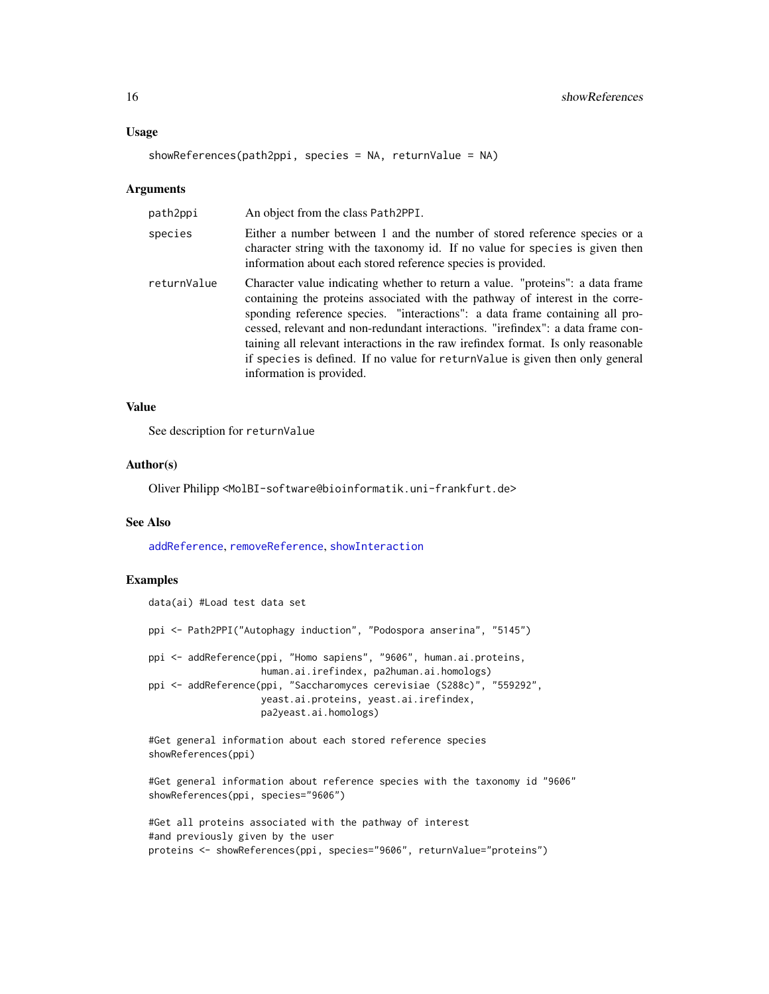#### <span id="page-15-0"></span>Usage

```
showReferences(path2ppi, species = NA, returnValue = NA)
```
#### Arguments

| path2ppi    | An object from the class Path2PPI.                                                                                                                                                                                                                                                                                                                                                                                                                                                                                                    |
|-------------|---------------------------------------------------------------------------------------------------------------------------------------------------------------------------------------------------------------------------------------------------------------------------------------------------------------------------------------------------------------------------------------------------------------------------------------------------------------------------------------------------------------------------------------|
| species     | Either a number between 1 and the number of stored reference species or a<br>character string with the taxonomy id. If no value for species is given then<br>information about each stored reference species is provided.                                                                                                                                                                                                                                                                                                             |
| returnValue | Character value indicating whether to return a value. "proteins": a data frame<br>containing the proteins associated with the pathway of interest in the corre-<br>sponding reference species. "interactions": a data frame containing all pro-<br>cessed, relevant and non-redundant interactions. "irefindex": a data frame con-<br>taining all relevant interactions in the raw irefindex format. Is only reasonable<br>if species is defined. If no value for return Value is given then only general<br>information is provided. |

#### Value

See description for returnValue

#### Author(s)

Oliver Philipp <MolBI-software@bioinformatik.uni-frankfurt.de>

#### See Also

[addReference](#page-1-1), [removeReference](#page-12-1), [showInteraction](#page-13-1)

#### Examples

```
data(ai) #Load test data set
ppi <- Path2PPI("Autophagy induction", "Podospora anserina", "5145")
ppi <- addReference(ppi, "Homo sapiens", "9606", human.ai.proteins,
                   human.ai.irefindex, pa2human.ai.homologs)
ppi <- addReference(ppi, "Saccharomyces cerevisiae (S288c)", "559292",
                   yeast.ai.proteins, yeast.ai.irefindex,
                   pa2yeast.ai.homologs)
#Get general information about each stored reference species
showReferences(ppi)
```
#Get general information about reference species with the taxonomy id "9606" showReferences(ppi, species="9606")

#Get all proteins associated with the pathway of interest #and previously given by the user proteins <- showReferences(ppi, species="9606", returnValue="proteins")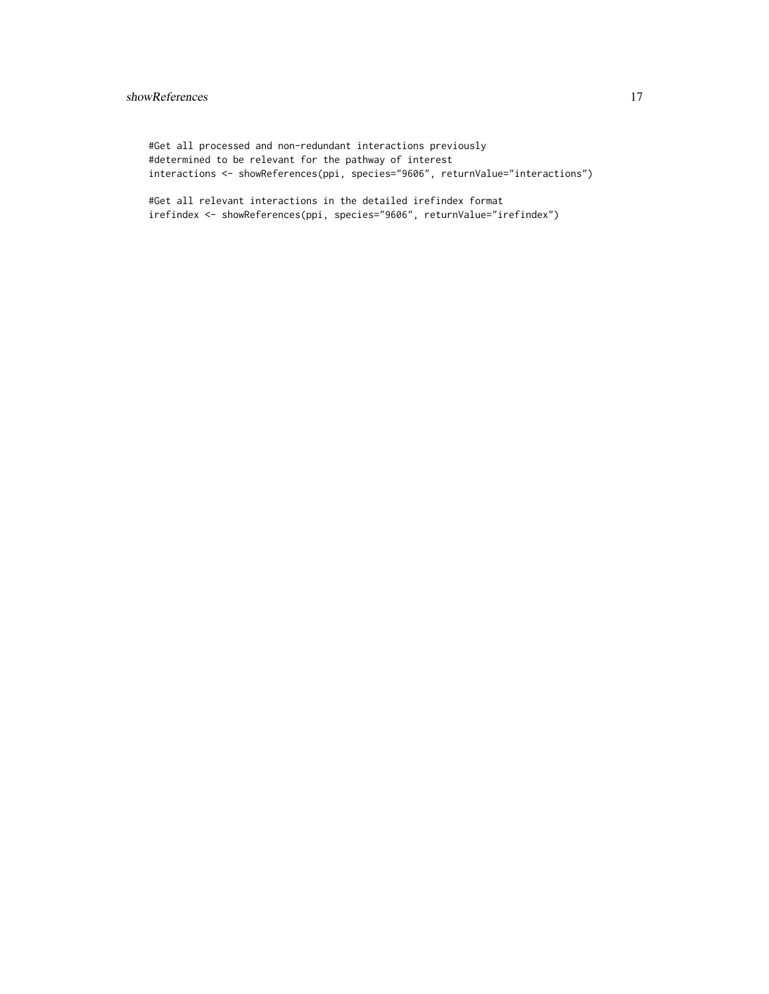#### showReferences and the state of the state of the state of the state of the state of the state of the state of the state of the state of the state of the state of the state of the state of the state of the state of the stat

#Get all processed and non-redundant interactions previously #determined to be relevant for the pathway of interest interactions <- showReferences(ppi, species="9606", returnValue="interactions")

#Get all relevant interactions in the detailed irefindex format irefindex <- showReferences(ppi, species="9606", returnValue="irefindex")